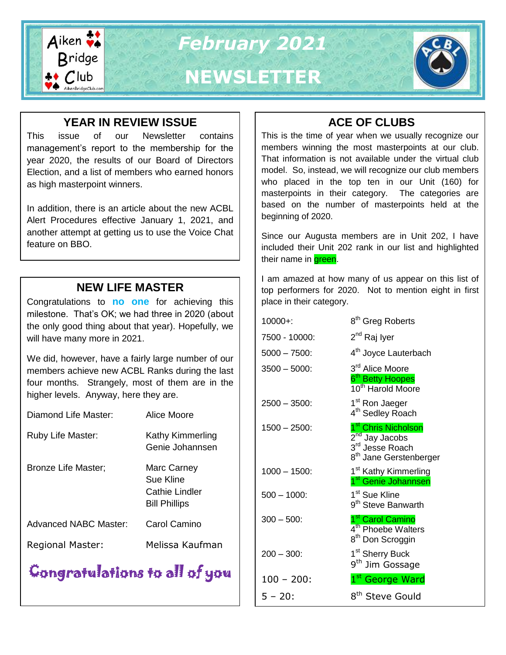

## **YEAR IN REVIEW ISSUE**

This issue of our Newsletter contains management's report to the membership for the year 2020, the results of our Board of Directors Election, and a list of members who earned honors as high masterpoint winners.

In addition, there is an article about the new ACBL Alert Procedures effective January 1, 2021, and another attempt at getting us to use the Voice Chat feature on BBO.

# **NEW LIFE MASTER**

Congratulations to **no one** for achieving this milestone. That's OK; we had three in 2020 (about the only good thing about that year). Hopefully, we will have many more in 2021.

We did, however, have a fairly large number of our members achieve new ACBL Ranks during the last four months. Strangely, most of them are in the higher levels. Anyway, here they are.

| Diamond Life Master:       | Alice Moore                                                        |
|----------------------------|--------------------------------------------------------------------|
| Ruby Life Master:          | Kathy Kimmerling<br>Genie Johannsen                                |
| <b>Bronze Life Master;</b> | Marc Carney<br>Sue Kline<br>Cathie Lindler<br><b>Bill Phillips</b> |
| Advanced NABC Master:      | Carol Camino                                                       |
| <b>Regional Master:</b>    | Melissa Kaufman                                                    |

# Congratulations to all of you

# **ACE OF CLUBS**

This is the time of year when we usually recognize our members winning the most masterpoints at our club. That information is not available under the virtual club model. So, instead, we will recognize our club members who placed in the top ten in our Unit (160) for masterpoints in their category. The categories are based on the number of masterpoints held at the beginning of 2020.

Since our Augusta members are in Unit 202, I have included their Unit 202 rank in our list and highlighted their name in **green**.

I am amazed at how many of us appear on this list of top performers for 2020. Not to mention eight in first place in their category.

| 8 <sup>th</sup> Greg Roberts                                                                                                       |
|------------------------------------------------------------------------------------------------------------------------------------|
| 2 <sup>nd</sup> Raj Iyer                                                                                                           |
| 4 <sup>th</sup> Joyce Lauterbach                                                                                                   |
| 3 <sup>rd</sup> Alice Moore<br>6 <sup>th</sup> Betty Hoopes<br>10 <sup>th</sup> Harold Moore                                       |
| 1 <sup>st</sup> Ron Jaeger<br>4 <sup>th</sup> Sedley Roach                                                                         |
| 1 <sup>st</sup> Chris Nicholson<br>2 <sup>nd</sup> Jay Jacobs<br>3 <sup>rd</sup> Jesse Roach<br>8 <sup>th</sup> Jane Gerstenberger |
| 1 <sup>st</sup> Kathy Kimmerling<br>1 <sup>st</sup> Genie Johannsen                                                                |
| 1 <sup>st</sup> Sue Kline<br>9 <sup>th</sup> Steve Banwarth                                                                        |
| 1 <sup>st</sup> Carol Camino<br>4 <sup>th</sup> Phoebe Walters<br>8 <sup>th</sup> Don Scroggin                                     |
| 1 <sup>st</sup> Sherry Buck<br>9 <sup>th</sup> Jim Gossage                                                                         |
| 1 <sup>st</sup> George Ward                                                                                                        |
| 8 <sup>th</sup> Steve Gould                                                                                                        |
|                                                                                                                                    |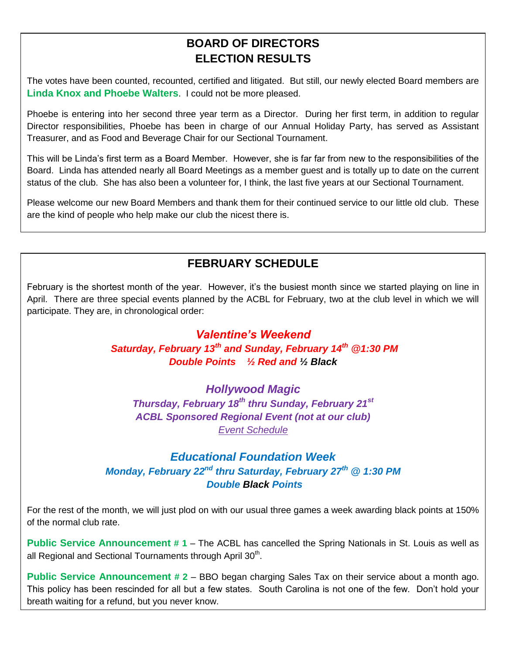# **BOARD OF DIRECTORS ELECTION RESULTS**

The votes have been counted, recounted, certified and litigated. But still, our newly elected Board members are **Linda Knox and Phoebe Walters**. I could not be more pleased.

Phoebe is entering into her second three year term as a Director. During her first term, in addition to regular Director responsibilities, Phoebe has been in charge of our Annual Holiday Party, has served as Assistant Treasurer, and as Food and Beverage Chair for our Sectional Tournament.

This will be Linda's first term as a Board Member. However, she is far far from new to the responsibilities of the Board. Linda has attended nearly all Board Meetings as a member guest and is totally up to date on the current status of the club. She has also been a volunteer for, I think, the last five years at our Sectional Tournament.

Please welcome our new Board Members and thank them for their continued service to our little old club. These are the kind of people who help make our club the nicest there is.

# **FEBRUARY SCHEDULE**

February is the shortest month of the year. However, it's the busiest month since we started playing on line in April. There are three special events planned by the ACBL for February, two at the club level in which we will participate. They are, in chronological order:

## *Valentine's Weekend Saturday, February 13th and Sunday, February 14th @1:30 PM Double Points ½ Red and ½ Black*

*Hollywood Magic Thursday, February 18th thru Sunday, February 21st ACBL Sponsored Regional Event (not at our club) [Event Schedule](https://web2.acbl.org/documentLibrary/play/Hollywood_Schedule.pdf)*

## *Educational Foundation Week Monday, February 22nd thru Saturday, February 27th @ 1:30 PM Double Black Points*

For the rest of the month, we will just plod on with our usual three games a week awarding black points at 150% of the normal club rate.

**Public Service Announcement** # 1 – The ACBL has cancelled the Spring Nationals in St. Louis as well as all Regional and Sectional Tournaments through April 30<sup>th</sup>.

**Public Service Announcement # 2** – BBO began charging Sales Tax on their service about a month ago. This policy has been rescinded for all but a few states. South Carolina is not one of the few. Don't hold your breath waiting for a refund, but you never know.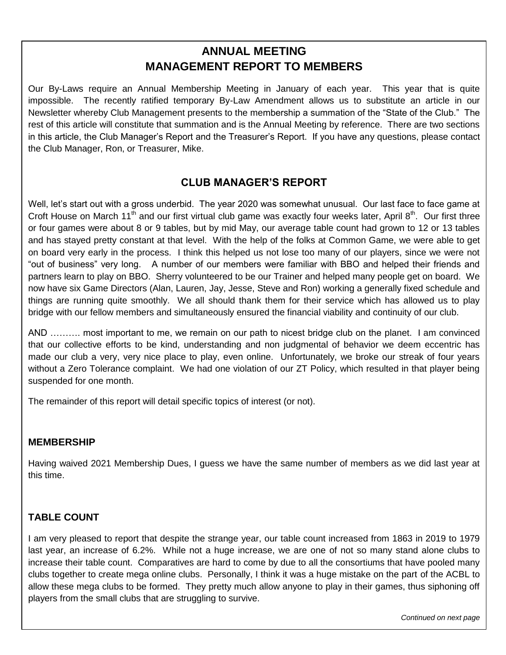# **ANNUAL MEETING MANAGEMENT REPORT TO MEMBERS**

Our By-Laws require an Annual Membership Meeting in January of each year. This year that is quite impossible. The recently ratified temporary By-Law Amendment allows us to substitute an article in our Newsletter whereby Club Management presents to the membership a summation of the "State of the Club." The rest of this article will constitute that summation and is the Annual Meeting by reference. There are two sections in this article, the Club Manager's Report and the Treasurer's Report. If you have any questions, please contact the Club Manager, Ron, or Treasurer, Mike.

## **CLUB MANAGER'S REPORT**

partners learn to play on BBO. Sherry volunteered to be our Trainer and helped many people get on board. We Well, let's start out with a gross underbid. The year 2020 was somewhat unusual. Our last face to face game at Croft House on March 11<sup>th</sup> and our first virtual club game was exactly four weeks later, April  $8^{th}$ . Our first three or four games were about 8 or 9 tables, but by mid May, our average table count had grown to 12 or 13 tables and has stayed pretty constant at that level. With the help of the folks at Common Game, we were able to get on board very early in the process. I think this helped us not lose too many of our players, since we were not "out of business" very long. A number of our members were familiar with BBO and helped their friends and now have six Game Directors (Alan, Lauren, Jay, Jesse, Steve and Ron) working a generally fixed schedule and things are running quite smoothly. We all should thank them for their service which has allowed us to play bridge with our fellow members and simultaneously ensured the financial viability and continuity of our club.

AND ………. most important to me, we remain on our path to nicest bridge club on the planet. I am convinced that our collective efforts to be kind, understanding and non judgmental of behavior we deem eccentric has made our club a very, very nice place to play, even online. Unfortunately, we broke our streak of four years without a Zero Tolerance complaint. We had one violation of our ZT Policy, which resulted in that player being suspended for one month.

The remainder of this report will detail specific topics of interest (or not).

#### **MEMBERSHIP**

Having waived 2021 Membership Dues, I guess we have the same number of members as we did last year at this time.

#### **TABLE COUNT**

**Falling Down Bridge**

I am very pleased to report that despite the strange year, our table count increased from 1863 in 2019 to 1979 last year, an increase of 6.2%. While not a huge increase, we are one of not so many stand alone clubs to increase their table count. Comparatives are hard to come by due to all the consortiums that have pooled many clubs together to create mega online clubs. Personally, I think it was a huge mistake on the part of the ACBL to allow these mega clubs to be formed. They pretty much allow anyone to play in their games, thus siphoning off players from the small clubs that are struggling to survive.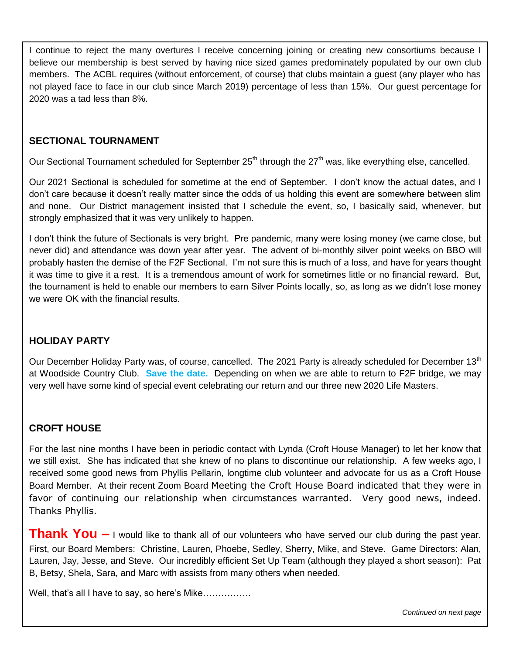I continue to reject the many overtures I receive concerning joining or creating new consortiums because I believe our membership is best served by having nice sized games predominately populated by our own club members. The ACBL requires (without enforcement, of course) that clubs maintain a guest (any player who has not played face to face in our club since March 2019) percentage of less than 15%. Our guest percentage for 2020 was a tad less than 8%.

#### **SECTIONAL TOURNAMENT**

Our Sectional Tournament scheduled for September 25<sup>th</sup> through the 27<sup>th</sup> was, like everything else, cancelled.

Our 2021 Sectional is scheduled for sometime at the end of September. I don't know the actual dates, and I don't care because it doesn't really matter since the odds of us holding this event are somewhere between slim and none. Our District management insisted that I schedule the event, so, I basically said, whenever, but strongly emphasized that it was very unlikely to happen.

I don't think the future of Sectionals is very bright. Pre pandemic, many were losing money (we came close, but never did) and attendance was down year after year. The advent of bi-monthly silver point weeks on BBO will probably hasten the demise of the F2F Sectional. I'm not sure this is much of a loss, and have for years thought it was time to give it a rest. It is a tremendous amount of work for sometimes little or no financial reward. But, the tournament is held to enable our members to earn Silver Points locally, so, as long as we didn't lose money we were OK with the financial results.

#### **HOLIDAY PARTY**

Our December Holiday Party was, of course, cancelled. The 2021 Party is already scheduled for December 13<sup>th</sup> at Woodside Country Club. **Save the date.** Depending on when we are able to return to F2F bridge, we may very well have some kind of special event celebrating our return and our three new 2020 Life Masters.

#### **CROFT HOUSE**

For the last nine months I have been in periodic contact with Lynda (Croft House Manager) to let her know that we still exist. She has indicated that she knew of no plans to discontinue our relationship. A few weeks ago, I received some good news from Phyllis Pellarin, longtime club volunteer and advocate for us as a Croft House Board Member. At their recent Zoom Board Meeting the Croft House Board indicated that they were in favor of continuing our relationship when circumstances warranted. Very good news, indeed. Thanks Phyllis.

**Thank You –** I would like to thank all of our volunteers who have served our club during the past year. First, our Board Members: Christine, Lauren, Phoebe, Sedley, Sherry, Mike, and Steve. Game Directors: Alan, Lauren, Jay, Jesse, and Steve. Our incredibly efficient Set Up Team (although they played a short season): Pat B, Betsy, Shela, Sara, and Marc with assists from many others when needed.

Well, that's all I have to say, so here's Mike................

*Continued on next page*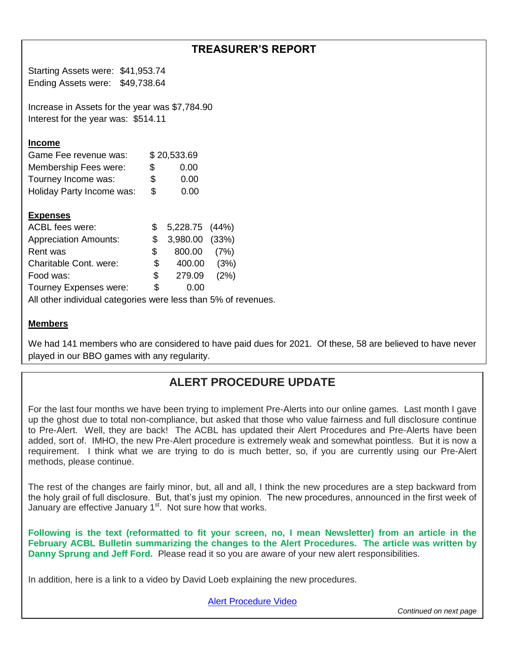## **TREASURER'S REPORT**

Starting Assets were: \$41,953.74 Ending Assets were: \$49,738.64

Increase in Assets for the year was \$7,784.90 Interest for the year was: \$514.11

#### **Income**

| Game Fee revenue was:     |     | \$20,533.69 |
|---------------------------|-----|-------------|
| Membership Fees were:     | \$. | 0.00        |
| Tourney Income was:       | S   | 0.00        |
| Holiday Party Income was: | S   | 0.00        |

#### **Expenses**

| ACBL fees were:                                                |     | 5,228.75 (44%)    |      |  |  |
|----------------------------------------------------------------|-----|-------------------|------|--|--|
| <b>Appreciation Amounts:</b>                                   |     | $$3,980.00$ (33%) |      |  |  |
| Rent was                                                       | S.  | 800.00            | (7%) |  |  |
| Charitable Cont. were:                                         | \$. | 400.00            | (3%) |  |  |
| Food was:                                                      | \$  | 279.09            | (2%) |  |  |
| Tourney Expenses were:                                         | S   | 0.00              |      |  |  |
| All other individual categories were less than 5% of revenues. |     |                   |      |  |  |

#### **Members**

We had 141 members who are considered to have paid dues for 2021. Of these, 58 are believed to have never played in our BBO games with any regularity.

## **ALERT PROCEDURE UPDATE**

For the last four months we have been trying to implement Pre-Alerts into our online games. Last month I gave up the ghost due to total non-compliance, but asked that those who value fairness and full disclosure continue to Pre-Alert. Well, they are back! The ACBL has updated their Alert Procedures and Pre-Alerts have been added, sort of. IMHO, the new Pre-Alert procedure is extremely weak and somewhat pointless. But it is now a requirement. I think what we are trying to do is much better, so, if you are currently using our Pre-Alert methods, please continue.

The rest of the changes are fairly minor, but, all and all, I think the new procedures are a step backward from the holy grail of full disclosure. But, that's just my opinion. The new procedures, announced in the first week of January are effective January 1<sup>st</sup>. Not sure how that works.

**Following is the text (reformatted to fit your screen, no, I mean Newsletter) from an article in the February ACBL Bulletin summarizing the changes to the Alert Procedures. The article was written by Danny Sprung and Jeff Ford.** Please read it so you are aware of your new alert responsibilities.

In addition, here is a link to a video by David Loeb explaining the new procedures.

[Alert Procedure Video](https://www.youtube.com/watch?v=6cY_lDk99Hw&feature=youtu.be)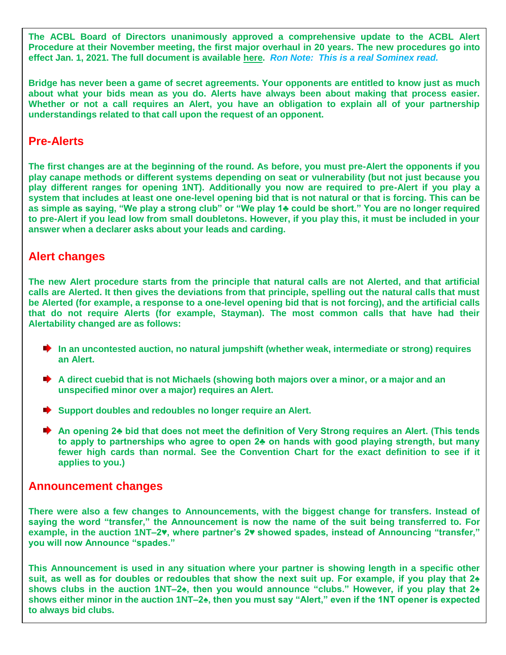**The ACBL Board of Directors unanimously approved a comprehensive update to the ACBL Alert Procedure at their November meeting, the first major overhaul in 20 years. The new procedures go into effect Jan. 1, 2021. The full document is available [here.](https://web2.acbl.org/documentLibrary/play/AlertProcedures2.pdf)** *Ron Note: This is a real Sominex read.*

**Bridge has never been a game of secret agreements. Your opponents are entitled to know just as much about what your bids mean as you do. Alerts have always been about making that process easier. Whether or not a call requires an Alert, you have an obligation to explain all of your partnership understandings related to that call upon the request of an opponent.**

## **Pre-Alerts**

**The first changes are at the beginning of the round. As before, you must pre-Alert the opponents if you play canape methods or different systems depending on seat or vulnerability (but not just because you play different ranges for opening 1NT). Additionally you now are required to pre-Alert if you play a system that includes at least one one-level opening bid that is not natural or that is forcing. This can be as simple as saying, "We play a strong club" or "We play 1♣ could be short." You are no longer required to pre-Alert if you lead low from small doubletons. However, if you play this, it must be included in your answer when a declarer asks about your leads and carding.**

## **Alert changes**

**The new Alert procedure starts from the principle that natural calls are not Alerted, and that artificial calls are Alerted. It then gives the deviations from that principle, spelling out the natural calls that must be Alerted (for example, a response to a one-level opening bid that is not forcing), and the artificial calls that do not require Alerts (for example, Stayman). The most common calls that have had their Alertability changed are as follows:**

- **■** In an uncontested auction, no natural jumpshift (whether weak, intermediate or strong) requires **an Alert.**
- **★** A direct cuebid that is not Michaels (showing both majors over a minor, or a major and an **unspecified minor over a major) requires an Alert.**
- **►** Support doubles and redoubles no longer require an Alert.
- **An opening 2♣ bid that does not meet the definition of Very Strong requires an Alert. (This tends to apply to partnerships who agree to open 2♣ on hands with good playing strength, but many fewer high cards than normal. See the Convention Chart for the exact definition to see if it applies to you.)**

#### **Announcement changes**

**There were also a few changes to Announcements, with the biggest change for transfers. Instead of saying the word "transfer," the Announcement is now the name of the suit being transferred to. For example, in the auction 1NT–2♥, where partner's 2♥ showed spades, instead of Announcing "transfer," you will now Announce "spades."**

**This Announcement is used in any situation where your partner is showing length in a specific other suit, as well as for doubles or redoubles that show the next suit up. For example, if you play that 2♠ shows clubs in the auction 1NT–2♠, then you would announce "clubs." However, if you play that 2♠ shows either minor in the auction 1NT–2♠, then you must say "Alert," even if the 1NT opener is expected to always bid clubs.**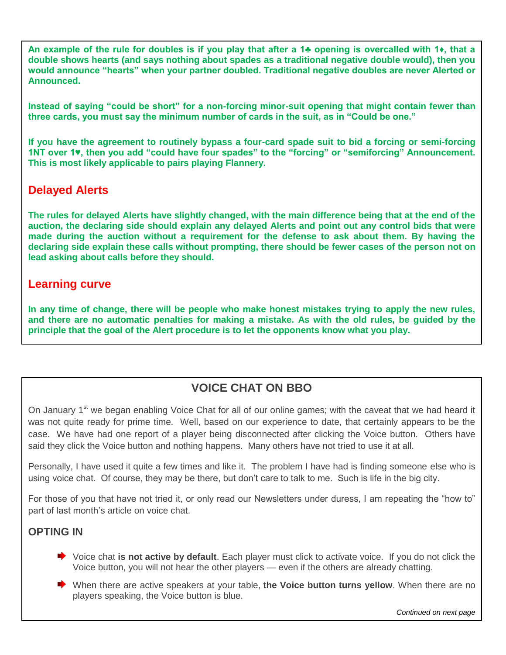**An example of the rule for doubles is if you play that after a 1♣ opening is overcalled with 1♦, that a double shows hearts (and says nothing about spades as a traditional negative double would), then you would announce "hearts" when your partner doubled. Traditional negative doubles are never Alerted or Announced.**

**Instead of saying "could be short" for a non-forcing minor-suit opening that might contain fewer than three cards, you must say the minimum number of cards in the suit, as in "Could be one."**

**If you have the agreement to routinely bypass a four-card spade suit to bid a forcing or semi-forcing 1NT over 1♥, then you add "could have four spades" to the "forcing" or "semiforcing" Announcement. This is most likely applicable to pairs playing Flannery.**

## **Delayed Alerts**

**The rules for delayed Alerts have slightly changed, with the main difference being that at the end of the auction, the declaring side should explain any delayed Alerts and point out any control bids that were made during the auction without a requirement for the defense to ask about them. By having the declaring side explain these calls without prompting, there should be fewer cases of the person not on lead asking about calls before they should.**

## **Learning curve**

**In any time of change, there will be people who make honest mistakes trying to apply the new rules, and there are no automatic penalties for making a mistake. As with the old rules, be guided by the principle that the goal of the Alert procedure is to let the opponents know what you play.**

## **VOICE CHAT ON BBO**

On January 1<sup>st</sup> we began enabling Voice Chat for all of our online games; with the caveat that we had heard it was not quite ready for prime time. Well, based on our experience to date, that certainly appears to be the case. We have had one report of a player being disconnected after clicking the Voice button. Others have said they click the Voice button and nothing happens. Many others have not tried to use it at all.

Personally, I have used it quite a few times and like it. The problem I have had is finding someone else who is using voice chat. Of course, they may be there, but don't care to talk to me. Such is life in the big city.

For those of you that have not tried it, or only read our Newsletters under duress, I am repeating the "how to" part of last month's article on voice chat.

#### **OPTING IN**

- **■** Voice chat **is not active by default**. Each player must click to activate voice. If you do not click the Voice button, you will not hear the other players — even if the others are already chatting.
- When there are active speakers at your table, **the Voice button turns yellow**. When there are no players speaking, the Voice button is blue.

*Continued on next page*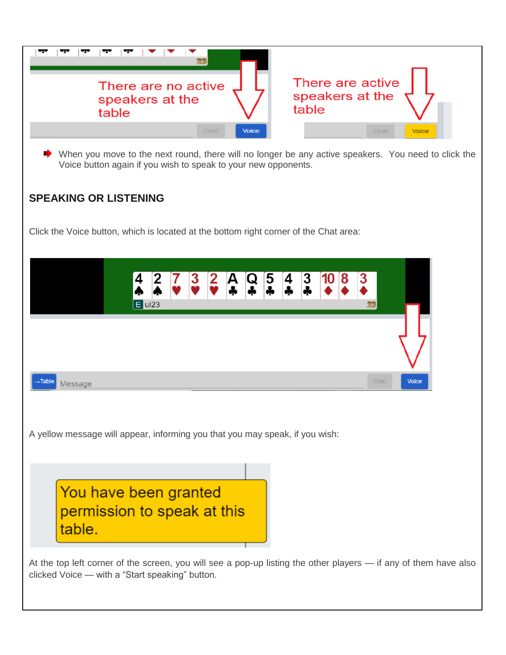